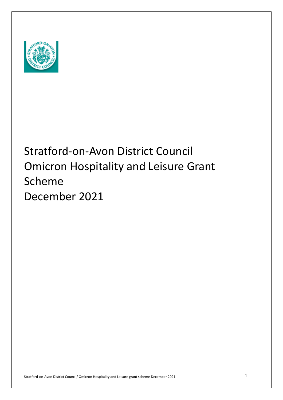

# December 2021 Stratford-on-Avon District Council Omicron Hospitality and Leisure Grant Scheme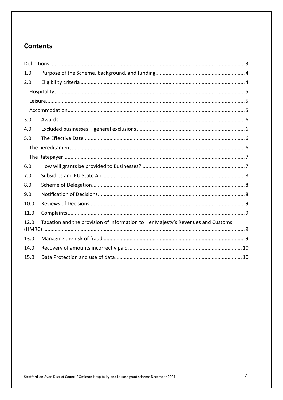## **Contents**

| 1.0                                                                                     |  |  |
|-----------------------------------------------------------------------------------------|--|--|
| 2.0                                                                                     |  |  |
|                                                                                         |  |  |
|                                                                                         |  |  |
|                                                                                         |  |  |
| 3.0                                                                                     |  |  |
| 4.0                                                                                     |  |  |
| 5.0                                                                                     |  |  |
|                                                                                         |  |  |
|                                                                                         |  |  |
| 6.0                                                                                     |  |  |
| 7.0                                                                                     |  |  |
| 8.0                                                                                     |  |  |
| 9.0                                                                                     |  |  |
| 10.0                                                                                    |  |  |
| 11.0                                                                                    |  |  |
| Taxation and the provision of information to Her Majesty's Revenues and Customs<br>12.0 |  |  |
| 13.0                                                                                    |  |  |
| 14.0                                                                                    |  |  |
| 15.0                                                                                    |  |  |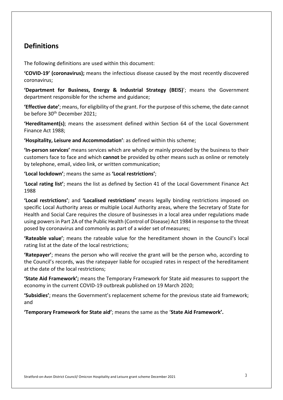## **Definitions**

The following definitions are used within this document:

 **'COVID-19' (coronavirus);** means the infectious disease caused by the most recently discovered coronavirus;

 **'Department for Business, Energy & Industrial Strategy (BEIS)**'; means the Government department responsible for the scheme and guidance;

 **'Effective date'**; means, for eligibility of the grant. For the purpose of this scheme, the date cannot be before 30<sup>th</sup> December 2021;

 **'Hereditament(s)**; means the assessment defined within Section 64 of the Local Government Finance Act 1988;

 **'Hospitality, Leisure and Accommodation'**: as defined within this scheme;

 **'In-person services'** means services which are wholly or mainly provided by the business to their customers face to face and which **cannot** be provided by other means such as online or remotely by telephone, email, video link, or written communication;

**'Local lockdown'**; means the same as **'Local restrictions'**;

 **'Local rating list'**; means the list as defined by Section 41 of the Local Government Finance Act 1988

 **'Local restrictions'**; and **'Localised restrictions'** means legally binding restrictions imposed on specific Local Authority areas or multiple Local Authority areas, where the Secretary of State for Health and Social Care requires the closure of businesses in a local area under regulations made using powers in Part 2A of the Public Health (Control of Disease) Act 1984 in response to the threat posed by coronavirus and commonly as part of a wider set of measures;

 **'Rateable value'**; means the rateable value for the hereditament shown in the Council's local rating list at the date of the local restrictions;

 **'Ratepayer'**; means the person who will receive the grant will be the person who, according to the Council's records, was the ratepayer liable for occupied rates in respect of the hereditament at the date of the local restrictions;

 **'State Aid Framework';** means the Temporary Framework for State aid measures to support the economy in the current COVID-19 outbreak published on 19 March 2020;

 **'Subsidies'**; means the Government's replacement scheme for the previous state aid framework; and

 **'Temporary Framework for State aid'**; means the same as the '**State Aid Framework'.**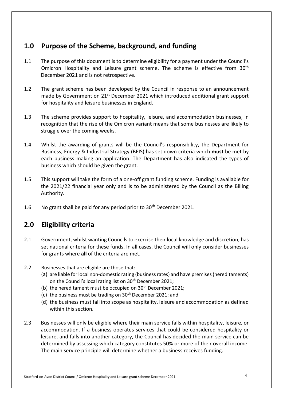## **1.0 Purpose of the Scheme, background, and funding**

- $1.1$ Omicron Hospitality and Leisure grant scheme. The scheme is effective from 30<sup>th</sup> December 2021 and is not retrospective. The purpose of this document is to determine eligibility for a payment under the Council's
- 1.2 The grant scheme has been developed by the Council in response to an announcement made by Government on 21<sup>st</sup> December 2021 which introduced additional grant support for hospitality and leisure businesses in England.
- $1.3$  recognition that the rise of the Omicron variant means that some businesses are likely to struggle over the coming weeks. The scheme provides support to hospitality, leisure, and accommodation businesses, in
- 1.4 Whilst the awarding of grants will be the Council's responsibility, the Department for Business, Energy & Industrial Strategy (BEIS) has set down criteria which **must** be met by business which should be given the grant. each business making an application. The Department has also indicated the types of
- $1.5$  the 2021/22 financial year only and is to be administered by the Council as the Billing This support will take the form of a one-off grant funding scheme. Funding is available for Authority.
- $1.6$ No grant shall be paid for any period prior to 30<sup>th</sup> December 2021.

## **2.0 Eligibility criteria**

- 2.1 Government, whilst wanting Councils to exercise their local knowledge and discretion, has set national criteria for these funds. In all cases, the Council will only consider businesses for grants where **all** of the criteria are met.
- 2.2 Businesses that are eligible are those that:
	- (a) are liable for local non-domestic rating (business rates) and have premises (hereditaments) on the Council's local rating list on 30<sup>th</sup> December 2021;
	- (b) the hereditament must be occupied on  $30<sup>th</sup>$  December 2021;
	- (c) the business must be trading on  $30<sup>th</sup>$  December 2021; and
	- (d) the business must fall into scope as hospitality, leisure and accommodation as defined within this section.
- 2.3 Businesses will only be eligible where their main service falls within hospitality, leisure, or accommodation. If a business operates services that could be considered hospitality or leisure, and falls into another category, the Council has decided the main service can be determined by assessing which category constitutes 50% or more of their overall income. The main service principle will determine whether a business receives funding.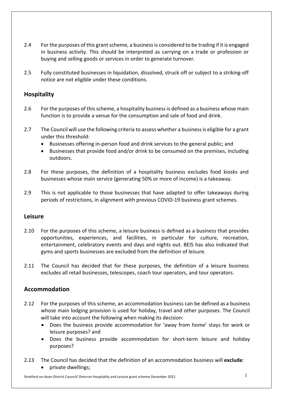- $2.4$  in business activity. This should be interpreted as carrying on a trade or profession or buying and selling goods or services in order to generate turnover. 2.4 For the purposes of this grant scheme, a business is considered to be trading if it is engaged
- $2.5$  notice are not eligible under these conditions. 2.5 Fully constituted businesses in liquidation, dissolved, struck off or subject to a striking-off

#### **Hospitality**

- $2.6$  function is to provide a venue for the consumption and sale of food and drink. For the purposes of this scheme, a hospitality business is defined as a business whose main
- 2.7 The Council will use the following criteria to assess whether a business is eligible for a grant under this threshold:
	- Businesses offering in-person food and drink services to the general public; and
	- • Businesses that provide food and/or drink to be consumed on the premises, including outdoors.
- 2.8 For these purposes, the definition of a hospitality business excludes food kiosks and businesses whose main service (generating 50% or more of income) is a takeaway.
- 2.9 This is not applicable to those businesses that have adapted to offer takeaways during periods of restrictions, in alignment with previous COVID-19 business grant schemes.

#### **Leisure**

- 2.10 For the purposes of this scheme, a leisure business is defined as a business that provides opportunities, experiences, and facilities, in particular for culture, recreation, entertainment, celebratory events and days and nights out. BEIS has also indicated that gyms and sports businesses are excluded from the definition of leisure.
- $2.11$  excludes all retail businesses, telescopes, coach tour operators, and tour operators. The Council has decided that for these purposes, the definition of a leisure business

#### **Accommodation**

- $2.12$  whose main lodging provision is used for holiday, travel and other purposes. The Council For the purposes of this scheme, an accommodation business can be defined as a business will take into account the following when making its decision:
	- • Does the business provide accommodation for 'away from home' stays for work or leisure purposes? and
	- • Does the business provide accommodation for short-term leisure and holiday purposes?
- 2.13 The Council has decided that the definition of an accommodation business will **exclude**: • private dwellings;

Stratford-on-Avon District Council/ Omicron Hospitality and Leisure grant scheme December 2021  $\,$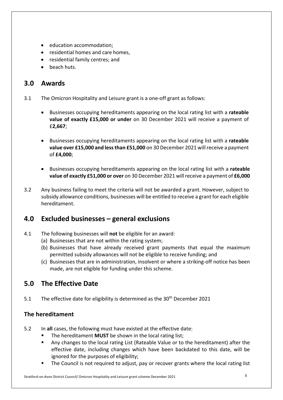- education accommodation;
- residential homes and care homes,
- residential family centres; and
- beach huts.

## **3.0 Awards**

- 3.1 The Omicron Hospitality and Leisure grant is a one-off grant as follows:
	- • Businesses occupying hereditaments appearing on the local rating list with a **rateable value of exactly £15,000 or under** on 30 December 2021 will receive a payment of £**2,667**;
	- • Businesses occupying hereditaments appearing on the local rating list with a **rateable value over £15,000 and less than £51,000** on 30 December 2021 will receive a payment of **£4,000**;
	- • Businesses occupying hereditaments appearing on the local rating list with a **rateable value of exactly £51,000 or over** on 30 December 2021 will receive a payment of **£6,000**
- $3.2$  subsidy allowance conditions, businesses will be entitled to receive a grant for each eligible Any business failing to meet the criteria will not be awarded a grant. However, subject to hereditament.

## **4.0 Excluded businesses – general exclusions**

- 4.1 The following businesses will **not** be eligible for an award:
	- (a) Businesses that are not within the rating system;
	- (b) Businesses that have already received grant payments that equal the maximum permitted subsidy allowances will not be eligible to receive funding; and
	- (c) Businesses that are in administration, insolvent or where a striking-off notice has been made, are not eligible for funding under this scheme.

## **5.0 The Effective Date**

 $5.1$ The effective date for eligibility is determined as the 30<sup>th</sup> December 2021

### **The hereditament**

- 5.2 In **all** cases, the following must have existed at the effective date:
	- The hereditament **MUST** be shown in the local rating list;
	- • Any changes to the local rating List (Rateable Value or to the hereditament) after the effective date, including changes which have been backdated to this date, will be ignored for the purposes of eligibility;
	- The Council is not required to adjust, pay or recover grants where the local rating list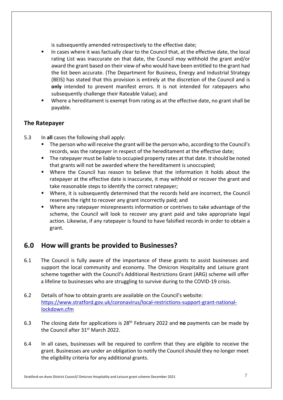is subsequently amended retrospectively to the effective date;

- • In cases where it was factually clear to the Council that, at the effective date, the local rating List was inaccurate on that date, the Council *may* withhold the grant and/or award the grant based on their view of who would have been entitled to the grant had the list been accurate. (The Department for Business, Energy and Industrial Strategy (BEIS) has stated that this provision is entirely at the discretion of the Council and is **only** intended to prevent manifest errors. It is not intended for ratepayers who subsequently challenge their Rateable Value); and
- • Where a hereditament is exempt from rating as at the effective date, no grant shall be payable.

### **The Ratepayer**

- $5.3$ 5.3 In **all** cases the following shall apply:
	- • The person who will receive the grant will be the person who, according to the Council's records, was the ratepayer in respect of the hereditament at the effective date;
	- • The ratepayer must be liable to occupied property rates at that date. It should be noted that grants will not be awarded where the hereditament is unoccupied;
	- • Where the Council has reason to believe that the information it holds about the ratepayer at the effective date is inaccurate, it may withhold or recover the grant and take reasonable steps to identify the correct ratepayer;
	- • Where, it is subsequently determined that the records held are incorrect, the Council reserves the right to recover any grant incorrectly paid; and
	- • Where any ratepayer misrepresents information or contrives to take advantage of the scheme, the Council will look to recover any grant paid and take appropriate legal action. Likewise, if any ratepayer is found to have falsified records in order to obtain a grant.

## **6.0 How will grants be provided to Businesses?**

- $6.1$  support the local community and economy. The Omicron Hospitality and Leisure grant scheme together with the Council's Additional Restrictions Grant (ARG) scheme will offer a lifeline to businesses who are struggling to survive during to the COVID-19 crisis. The Council is fully aware of the importance of these grants to assist businesses and
- $6.2$ Details of how to obtain grants are available on the Council's website: <https://www.stratford.gov.uk/coronavirus/local-restrictions-support-grant-national>lockdown.cfm
- $6.3$ the Council after 31<sup>st</sup> March 2022. 6.3 The closing date for applications is 28th February 2022 and **no** payments can be made by
- $6.4$  grant. Businesses are under an obligation to notify the Council should they no longer meet the eligibility criteria for any additional grants. In all cases, businesses will be required to confirm that they are eligible to receive the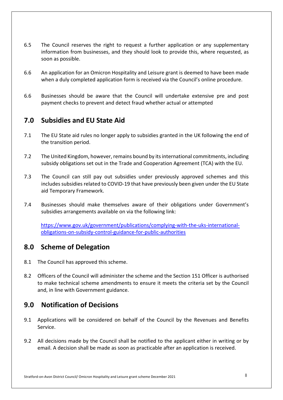- $6.5$  information from businesses, and they should look to provide this, where requested, as soon as possible. The Council reserves the right to request a further application or any supplementary
- $6.6$  when a duly completed application form is received via the Council's online procedure. 6.6 An application for an Omicron Hospitality and Leisure grant is deemed to have been made
- 6.6 Businesses should be aware that the Council will undertake extensive pre and post payment checks to prevent and detect fraud whether actual or attempted

## **7.0 Subsidies and EU State Aid**

- $7.1$ The EU State aid rules no longer apply to subsidies granted in the UK following the end of the transition period.
- $7.2$  subsidy obligations set out in the Trade and Cooperation Agreement (TCA) with the EU. The United Kingdom, however, remains bound by its international commitments, including
- $7.3$  includes subsidies related to COVID-19 that have previously been given under the EU State The Council can still pay out subsidies under previously approved schemes and this aid Temporary Framework.
- 7.4 Businesses should make themselves aware of their obligations under Government's subsidies arrangements available on via the following link:

<https://www.gov.uk/government/publications/complying-with-the-uks-international>obligations-on-subsidy-control-guidance-for-public-authorities

## **8.0 Scheme of Delegation**

- 8.1 The Council has approved this scheme.
- $8.2$  to make technical scheme amendments to ensure it meets the criteria set by the Council and, in line with Government guidance. 8.2 Officers of the Council will administer the scheme and the Section 151 Officer is authorised

## **9.0 Notification of Decisions**

- 9.1 Applications will be considered on behalf of the Council by the Revenues and Benefits Service.
- 9.2 All decisions made by the Council shall be notified to the applicant either in writing or by email. A decision shall be made as soon as practicable after an application is received.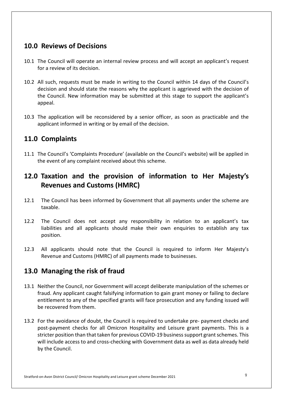## **10.0 Reviews of Decisions**

- 10.1 The Council will operate an internal review process and will accept an applicant's request for a review of its decision.
- 10.2 All such, requests must be made in writing to the Council within 14 days of the Council's decision and should state the reasons why the applicant is aggrieved with the decision of the Council. New information may be submitted at this stage to support the applicant's appeal.
- appeal.<br>10.3 The application will be reconsidered by a senior officer, as soon as practicable and the applicant informed in writing or by email of the decision.

## **11.0 Complaints**

 11.1 The Council's 'Complaints Procedure' (available on the Council's website) will be applied in the event of any complaint received about this scheme.

## **12.0 Taxation and the provision of information to Her Majesty's Revenues and Customs (HMRC)**

- $12.1$ taxable. The Council has been informed by Government that all payments under the scheme are
- $12.2$  liabilities and all applicants should make their own enquiries to establish any tax The Council does not accept any responsibility in relation to an applicant's tax position.
- $12.3$  Revenue and Customs (HMRC) of all payments made to businesses. All applicants should note that the Council is required to inform Her Majesty's

## **13.0 Managing the risk of fraud**

- 13.1 Neither the Council, nor Government will accept deliberate manipulation of the schemes or fraud. Any applicant caught falsifying information to gain grant money or failing to declare entitlement to any of the specified grants will face prosecution and any funding issued will be recovered from them.
- 13.2 For the avoidance of doubt, the Council is required to undertake pre- payment checks and post-payment checks for all Omicron Hospitality and Leisure grant payments. This is a stricter position than that taken for previous COVID-19 business support grant schemes. This will include access to and cross-checking with Government data as well as data already held by the Council.